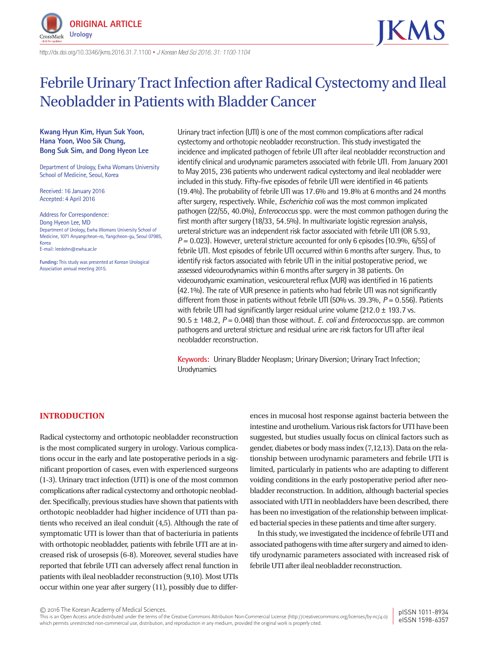

http://dx.doi.org/10.3346/ jkms.2016.31.7.1100 • *J Korean Med Sci 2016; 31: 1100-1104*

# Febrile Urinary Tract Infection after Radical Cystectomy and Ileal Neobladder in Patients with Bladder Cancer

**Kwang Hyun Kim, Hyun Suk Yoon, Hana Yoon, Woo Sik Chung, Bong Suk Sim, and Dong Hyeon Lee**

Department of Urology, Ewha Womans University School of Medicine, Seoul, Korea

Received: 16 January 2016 Accepted: 4 April 2016

Address for Correspondence: Dong Hyeon Lee, MD Department of Urology, Ewha Womans University School of Medicine, 1071 Anyangcheon-ro, Yangcheon-gu, Seoul 07985, Korea E-mail: leedohn@ewha.ac.kr

**Funding:** This study was presented at Korean Urological Association annual meeting 2015.

Urinary tract infection (UTI) is one of the most common complications after radical cystectomy and orthotopic neobladder reconstruction. This study investigated the incidence and implicated pathogen of febrile UTI after ileal neobladder reconstruction and identify clinical and urodynamic parameters associated with febrile UTI. From January 2001 to May 2015, 236 patients who underwent radical cystectomy and ileal neobladder were included in this study. Fifty-five episodes of febrile UTI were identified in 46 patients (19.4%). The probability of febrile UTI was 17.6% and 19.8% at 6 months and 24 months after surgery, respectively. While, *Escherichia coli* was the most common implicated pathogen (22/55, 40.0%), *Enterococcus* spp. were the most common pathogen during the first month after surgery (18/33, 54.5%). In multivariate logistic regression analysis, ureteral stricture was an independent risk factor associated with febrile UTI (OR 5.93, *P* = 0.023). However, ureteral stricture accounted for only 6 episodes (10.9%, 6/55) of febrile UTI. Most episodes of febrile UTI occurred within 6 months after surgery. Thus, to identify risk factors associated with febrile UTI in the initial postoperative period, we assessed videourodynamics within 6 months after surgery in 38 patients. On videourodyamic examination, vesicoureteral reflux (VUR) was identified in 16 patients (42.1%). The rate of VUR presence in patients who had febrile UTI was not significantly different from those in patients without febrile UTI (50% vs. 39.3%, *P* = 0.556). Patients with febrile UTI had significantly larger residual urine volume (212.0  $\pm$  193.7 vs. 90.5 ± 148.2, *P* = 0.048) than those without. *E. coli* and *Enterococcus* spp. are common pathogens and ureteral stricture and residual urine are risk factors for UTI after ileal neobladder reconstruction.

**Keywords:** Urinary Bladder Neoplasm; Urinary Diversion; Urinary Tract Infection; Urodynamics

### **INTRODUCTION**

Radical cystectomy and orthotopic neobladder reconstruction is the most complicated surgery in urology. Various complications occur in the early and late postoperative periods in a significant proportion of cases, even with experienced surgeons (1-3). Urinary tract infection (UTI) is one of the most common complications after radical cystectomy and orthotopic neobladder. Specifically, previous studies have shown that patients with orthotopic neobladder had higher incidence of UTI than patients who received an ileal conduit (4,5). Although the rate of symptomatic UTI is lower than that of bacteriuria in patients with orthotopic neobladder, patients with febrile UTI are at increased risk of urosepsis (6-8). Moreover, several studies have reported that febrile UTI can adversely affect renal function in patients with ileal neobladder reconstruction (9,10). Most UTIs occur within one year after surgery (11), possibly due to differ-

ences in mucosal host response against bacteria between the intestine and urothelium. Various risk factors for UTI have been suggested, but studies usually focus on clinical factors such as gender, diabetes or body mass index (7,12,13). Data on the relationship between urodynamic parameters and febrile UTI is limited, particularly in patients who are adapting to different voiding conditions in the early postoperative period after neobladder reconstruction. In addition, although bacterial species associated with UTI in neobladders have been described, there has been no investigation of the relationship between implicated bacterial species in these patients and time after surgery.

In this study, we investigated the incidence of febrile UTI and associated pathogens with time after surgery and aimed to identify urodynamic parameters associated with increased risk of febrile UTI after ileal neobladder reconstruction.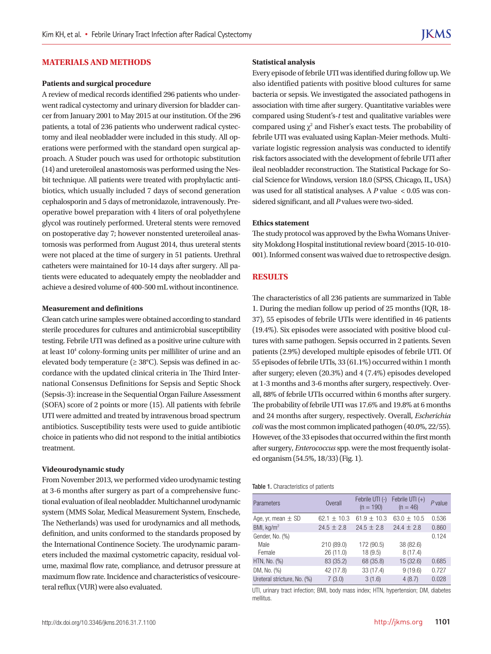## **MATERIALS AND METHODS**

### **Patients and surgical procedure**

A review of medical records identified 296 patients who underwent radical cystectomy and urinary diversion for bladder cancer from January 2001 to May 2015 at our institution. Of the 296 patients, a total of 236 patients who underwent radical cystectomy and ileal neobladder were included in this study. All operations were performed with the standard open surgical approach. A Studer pouch was used for orthotopic substitution (14) and ureteroileal anastomosis was performed using the Nesbit technique. All patients were treated with prophylactic antibiotics, which usually included 7 days of second generation cephalosporin and 5 days of metronidazole, intravenously. Preoperative bowel preparation with 4 liters of oral polyethylene glycol was routinely performed. Ureteral stents were removed on postoperative day 7; however nonstented ureteroileal anastomosis was performed from August 2014, thus ureteral stents were not placed at the time of surgery in 51 patients. Urethral catheters were maintained for 10-14 days after surgery. All patients were educated to adequately empty the neobladder and achieve a desired volume of 400-500 mL without incontinence.

### **Measurement and definitions**

Clean catch urine samples were obtained according to standard sterile procedures for cultures and antimicrobial susceptibility testing. Febrile UTI was defined as a positive urine culture with at least 10<sup>4</sup> colony-forming units per milliliter of urine and an elevated body temperature (≥ 38°C). Sepsis was defined in accordance with the updated clinical criteria in The Third International Consensus Definitions for Sepsis and Septic Shock (Sepsis-3): increase in the Sequential Organ Failure Assessment (SOFA) score of 2 points or more (15). All patients with febrile UTI were admitted and treated by intravenous broad spectrum antibiotics. Susceptibility tests were used to guide antibiotic choice in patients who did not respond to the initial antibiotics treatment.

#### **Videourodynamic study**

From November 2013, we performed video urodynamic testing at 3-6 months after surgery as part of a comprehensive functional evaluation of ileal neobladder. Multichannel urodynamic system (MMS Solar, Medical Measurement System, Enschede, The Netherlands) was used for urodynamics and all methods, definition, and units conformed to the standards proposed by the International Continence Society. The urodynamic parameters included the maximal cystometric capacity, residual volume, maximal flow rate, compliance, and detrusor pressure at maximum flow rate. Incidence and characteristics of vesicoureteral reflux (VUR) were also evaluated.

### **Statistical analysis**

Every episode of febrile UTI was identified during follow up. We also identified patients with positive blood cultures for same bacteria or sepsis. We investigated the associated pathogens in association with time after surgery. Quantitative variables were compared using Student's-*t* test and qualitative variables were compared using  $\chi^2$  and Fisher's exact tests. The probability of febrile UTI was evaluated using Kaplan-Meier methods. Multivariate logistic regression analysis was conducted to identify risk factors associated with the development of febrile UTI after ileal neobladder reconstruction. The Statistical Package for Social Science for Windows, version 18.0 (SPSS, Chicago, IL, USA) was used for all statistical analyses. A *P* value < 0.05 was considered significant, and all *P* values were two-sided.

## **Ethics statement**

The study protocol was approved by the Ewha Womans University Mokdong Hospital institutional review board (2015-10-010- 001). Informed consent was waived due to retrospective design.

## **RESULTS**

The characteristics of all 236 patients are summarized in Table 1. During the median follow up period of 25 months (IQR, 18- 37), 55 episodes of febrile UTIs were identified in 46 patients (19.4%). Six episodes were associated with positive blood cultures with same pathogen. Sepsis occurred in 2 patients. Seven patients (2.9%) developed multiple episodes of febrile UTI. Of 55 episodes of febrile UTIs, 33 (61.1%) occurred within 1 month after surgery; eleven (20.3%) and 4 (7.4%) episodes developed at 1-3 months and 3-6 months after surgery, respectively. Overall, 88% of febrile UTIs occurred within 6 months after surgery. The probability of febrile UTI was 17.6% and 19.8% at 6 months and 24 months after surgery, respectively. Overall, *Escherichia coli* was the most common implicated pathogen (40.0%, 22/55). However, of the 33 episodes that occurred within the first month after surgery, *Enterococcus* spp. were the most frequently isolated organism (54.5%, 18/33) (Fig. 1).

|  | <b>Table 1.</b> Characteristics of patients |  |  |
|--|---------------------------------------------|--|--|
|--|---------------------------------------------|--|--|

| Parameters                  | <b>Overall</b>  | Febrile UTI (-)<br>$(n = 190)$ | Febrile UTI $(+)$<br>$(n = 46)$ | P value |
|-----------------------------|-----------------|--------------------------------|---------------------------------|---------|
| Age, yr, mean $\pm$ SD      | 62.1 $\pm$ 10.3 | 61.9 $\pm$ 10.3                | 63.0 $\pm$ 10.5                 | 0.536   |
| BMI, $kg/m2$                | $24.5 + 2.8$    | $24.5 + 2.8$                   | $24.4 + 2.8$                    | 0.860   |
| Gender, No. (%)             |                 |                                |                                 | 0.124   |
| Male                        | 210 (89.0)      | 172 (90.5)                     | 38 (82.6)                       |         |
| Female                      | 26(11.0)        | 18(9.5)                        | 8(17.4)                         |         |
| HTN, No. (%)                | 83 (35.2)       | 68 (35.8)                      | 15 (32.6)                       | 0.685   |
| DM, No. (%)                 | 42 (17.8)       | 33 (17.4)                      | 9(19.6)                         | 0.727   |
| Ureteral stricture, No. (%) | 7(3.0)          | 3(1.6)                         | 4(8.7)                          | 0.028   |

UTI, urinary tract infection; BMI, body mass index; HTN, hypertension; DM, diabetes mellitus.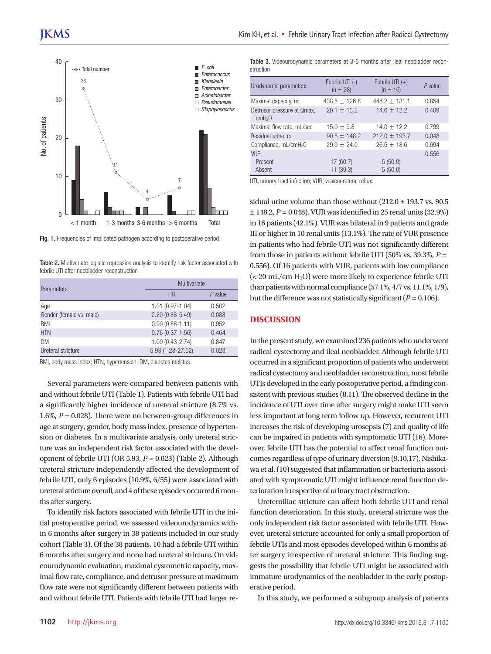

Fig. 1. Frequencies of implicated pathogen according to postoperative period.

Table 2. Multivariate logistic regression analysis to identify risk factor associated with febrile UTI after neobladder reconstruction

| <b>Parameters</b>        | Multivariate        |         |  |
|--------------------------|---------------------|---------|--|
|                          | <b>HR</b>           | P value |  |
| Age                      | $1.01(0.97 - 1.04)$ | 0.502   |  |
| Gender (female vs. male) | $2.20(0.88-5.49)$   | 0.088   |  |
| BMI                      | $0.99(0.88 - 1.11)$ | 0.952   |  |
| <b>HTN</b>               | $0.76(0.37 - 1.56)$ | 0.464   |  |
| <b>DM</b>                | $1.09(0.43 - 2.74)$ | 0.847   |  |
| Ureteral stricture       | $5.93(1.28-27.52)$  | 0.023   |  |

BMI, body mass index; HTN, hypertension; DM, diabetes mellitus.

Several parameters were compared between patients with and without febrile UTI (Table 1). Patients with febrile UTI had a significantly higher incidence of ureteral stricture (8.7% vs. 1.6%, *P* = 0.028). There were no between-group differences in age at surgery, gender, body mass index, presence of hypertension or diabetes. In a multivariate analysis, only ureteral stricture was an independent risk factor associated with the development of febrile UTI (OR 5.93, *P* = 0.023) (Table 2). Although ureteral stricture independently affected the development of febrile UTI, only 6 episodes (10.9%, 6/55) were associated with ureteral stricture overall, and 4 of these episodes occurred 6 months after surgery.

To identify risk factors associated with febrile UTI in the initial postoperative period, we assessed videourodynamics within 6 months after surgery in 38 patients included in our study cohort (Table 3). Of the 38 patients, 10 had a febrile UTI within 6 months after surgery and none had ureteral stricture. On videourodynamic evaluation, maximal cystometric capacity, maximal flow rate, compliance, and detrusor pressure at maximum flow rate were not significantly different between patients with and without febrile UTI. Patients with febrile UTI had larger reTable 3. Videourodynamic parameters at 3-6 months after ileal neobladder reconstruction

| Urodynamic parameters                            | Febrile UTI (-)<br>$(n = 28)$ | Febrile UTI $(+)$<br>$(n = 10)$ | <i>P</i> value |
|--------------------------------------------------|-------------------------------|---------------------------------|----------------|
| Maximal capacity, mL                             | $438.5 \pm 126.8$             | 448.2 $\pm$ 181.1               | 0.854          |
| Detrusor pressure at Qmax,<br>cmH <sub>2</sub> O | $20.1 + 13.2$                 | $14.6 + 12.2$                   | 0.409          |
| Maximal flow rate, mL/sec                        | $15.0 + 9.8$                  | $14.0 + 12.2$                   | 0.799          |
| Residual urine, cc                               | $90.5 \pm 148.2$              | $212.0 \pm 193.7$               | 0.048          |
| Compliance, mL/cmH <sub>2</sub> O                | $29.9 \pm 24.0$               | $26.6 \pm 18.6$                 | 0.694          |
| VUR<br>Present<br>Absent                         | 17(60.7)<br>11 (39.3)         | 5(50.0)<br>5(50.0)              | 0.556          |

UTI, urinary tract infection; VUR, vesicoureteral reflux.

sidual urine volume than those without  $(212.0 \pm 193.7 \text{ vs. } 90.5$  $\pm$  148.2, *P* = 0.048). VUR was identified in 25 renal units (32.9%) in 16 patients (42.1%). VUR was bilateral in 9 patients and grade III or higher in 10 renal units (13.1%). The rate of VUR presence in patients who had febrile UTI was not significantly different from those in patients without febrile UTI (50% vs. 39.3%, *P* = 0.556). Of 16 patients with VUR, patients with low compliance  $(< 20 \text{ mL/cm H}_2\text{O})$  were more likely to experience febrile UTI than patients with normal compliance (57.1%, 4/7 vs. 11.1%, 1/9), but the difference was not statistically significant ( $P = 0.106$ ).

## **DISCUSSION**

In the present study, we examined 236 patients who underwent radical cystectomy and ileal neobladder. Although febrile UTI occurred in a significant proportion of patients who underwent radical cystectomy and neobladder reconstruction, most febrile UTIs developed in the early postoperative period, a finding consistent with previous studies (8,11). The observed decline in the incidence of UTI over time after surgery might make UTI seem less important at long term follow up. However, recurrent UTI increases the risk of developing urosepsis (7) and quality of life can be impaired in patients with symptomatic UTI (16). Moreover, febrile UTI has the potential to affect renal function outcomes regardless of type of urinary diversion (9,10,17). Nishikawa et al. (10) suggested that inflammation or bacteriuria associated with symptomatic UTI might influence renal function deterioration irrespective of urinary tract obstruction.

Ureteroiliac stricture can affect both febrile UTI and renal function deterioration. In this study, ureteral stricture was the only independent risk factor associated with febrile UTI. However, ureteral stricture accounted for only a small proportion of febrile UTIs and most episodes developed within 6 months after surgery irrespective of ureteral stricture. This finding suggests the possibility that febrile UTI might be associated with immature urodynamics of the neobladder in the early postoperative period.

In this study, we performed a subgroup analysis of patients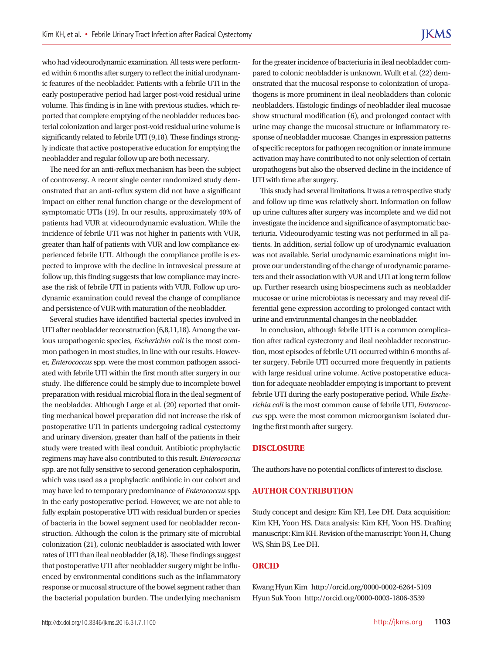who had videourodynamic examination. All tests were performed within 6 months after surgery to reflect the initial urodynamic features of the neobladder. Patients with a febrile UTI in the early postoperative period had larger post-void residual urine volume. This finding is in line with previous studies, which reported that complete emptying of the neobladder reduces bacterial colonization and larger post-void residual urine volume is significantly related to febrile UTI (9,18). These findings strongly indicate that active postoperative education for emptying the neobladder and regular follow up are both necessary.

The need for an anti-reflux mechanism has been the subject of controversy. A recent single center randomized study demonstrated that an anti-reflux system did not have a significant impact on either renal function change or the development of symptomatic UTIs (19). In our results, approximately 40% of patients had VUR at videourodynamic evaluation. While the incidence of febrile UTI was not higher in patients with VUR, greater than half of patients with VUR and low compliance experienced febrile UTI. Although the compliance profile is expected to improve with the decline in intravesical pressure at follow up, this finding suggests that low compliance may increase the risk of febrile UTI in patients with VUR. Follow up urodynamic examination could reveal the change of compliance and persistence of VUR with maturation of the neobladder.

Several studies have identified bacterial species involved in UTI after neobladder reconstruction (6,8,11,18). Among the various uropathogenic species, *Escherichia coli* is the most common pathogen in most studies, in line with our results. However, *Enterococcus* spp. were the most common pathogen associated with febrile UTI within the first month after surgery in our study. The difference could be simply due to incomplete bowel preparation with residual microbial flora in the ileal segment of the neobladder. Although Large et al. (20) reported that omitting mechanical bowel preparation did not increase the risk of postoperative UTI in patients undergoing radical cystectomy and urinary diversion, greater than half of the patients in their study were treated with ileal conduit. Antibiotic prophylactic regimens may have also contributed to this result. *Enterococcus* spp. are not fully sensitive to second generation cephalosporin, which was used as a prophylactic antibiotic in our cohort and may have led to temporary predominance of *Enterococcus* spp. in the early postoperative period. However, we are not able to fully explain postoperative UTI with residual burden or species of bacteria in the bowel segment used for neobladder reconstruction. Although the colon is the primary site of microbial colonization (21), colonic neobladder is associated with lower rates of UTI than ileal neobladder (8,18). These findings suggest that postoperative UTI after neobladder surgery might be influenced by environmental conditions such as the inflammatory response or mucosal structure of the bowel segment rather than the bacterial population burden. The underlying mechanism

for the greater incidence of bacteriuria in ileal neobladder compared to colonic neobladder is unknown. Wullt et al. (22) demonstrated that the mucosal response to colonization of uropathogens is more prominent in ileal neobladders than colonic neobladders. Histologic findings of neobladder ileal mucosae show structural modification (6), and prolonged contact with urine may change the mucosal structure or inflammatory response of neobladder mucosae. Changes in expression patterns of specific receptors for pathogen recognition or innate immune activation may have contributed to not only selection of certain uropathogens but also the observed decline in the incidence of UTI with time after surgery.

This study had several limitations. It was a retrospective study and follow up time was relatively short. Information on follow up urine cultures after surgery was incomplete and we did not investigate the incidence and significance of asymptomatic bacteriuria. Videourodyamic testing was not performed in all patients. In addition, serial follow up of urodynamic evaluation was not available. Serial urodynamic examinations might improve our understanding of the change of urodynamic parameters and their association with VUR and UTI at long term follow up. Further research using biospecimens such as neobladder mucosae or urine microbiotas is necessary and may reveal differential gene expression according to prolonged contact with urine and environmental changes in the neobladder.

In conclusion, although febrile UTI is a common complication after radical cystectomy and ileal neobladder reconstruction, most episodes of febrile UTI occurred within 6 months after surgery. Febrile UTI occurred more frequently in patients with large residual urine volume. Active postoperative education for adequate neobladder emptying is important to prevent febrile UTI during the early postoperative period. While *Escherichia coli* is the most common cause of febrile UTI, *Enterococcus* spp. were the most common microorganism isolated during the first month after surgery.

## **DISCLOSURE**

The authors have no potential conflicts of interest to disclose.

# **AUTHOR CONTRIBUTION**

Study concept and design: Kim KH, Lee DH. Data acquisition: Kim KH, Yoon HS. Data analysis: Kim KH, Yoon HS. Drafting manuscript: Kim KH. Revision of the manuscript: Yoon H, Chung WS, Shin BS, Lee DH.

### **ORCID**

Kwang Hyun Kim http://orcid.org/0000-0002-6264-5109 Hyun Suk Yoon http://orcid.org/0000-0003-1806-3539